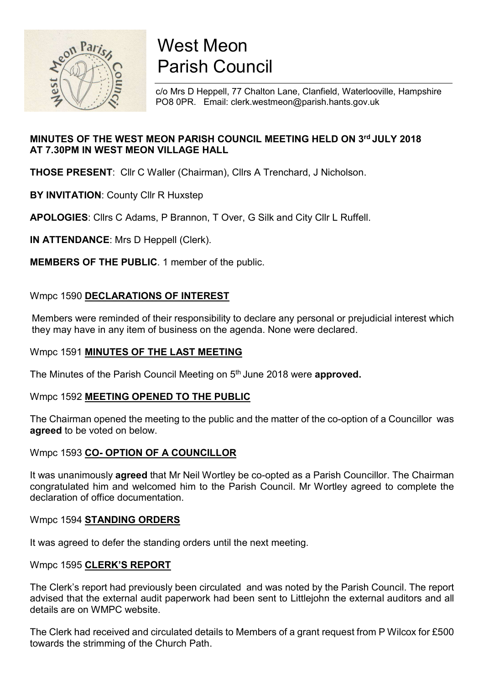

# West Meon Parish Council

c/o Mrs D Heppell, 77 Chalton Lane, Clanfield, Waterlooville, Hampshire PO8 0PR. Email: clerk.westmeon@parish.hants.gov.uk

# MINUTES OF THE WEST MEON PARISH COUNCIL MEETING HELD ON 3rd JULY 2018 AT 7.30PM IN WEST MEON VILLAGE HALL

THOSE PRESENT: Cllr C Waller (Chairman), Cllrs A Trenchard, J Nicholson.

**BY INVITATION: County Cllr R Huxstep** 

APOLOGIES: Cllrs C Adams, P Brannon, T Over, G Silk and City Cllr L Ruffell.

IN ATTENDANCE: Mrs D Heppell (Clerk).

MEMBERS OF THE PUBLIC. 1 member of the public.

# Wmpc 1590 DECLARATIONS OF INTEREST

 Members were reminded of their responsibility to declare any personal or prejudicial interest which they may have in any item of business on the agenda. None were declared.

## Wmpc 1591 MINUTES OF THE LAST MEETING

The Minutes of the Parish Council Meeting on 5<sup>th</sup> June 2018 were approved.

#### Wmpc 1592 MEETING OPENED TO THE PUBLIC

The Chairman opened the meeting to the public and the matter of the co-option of a Councillor was agreed to be voted on below.

## Wmpc 1593 CO- OPTION OF A COUNCILLOR

It was unanimously agreed that Mr Neil Wortley be co-opted as a Parish Councillor. The Chairman congratulated him and welcomed him to the Parish Council. Mr Wortley agreed to complete the declaration of office documentation.

## Wmpc 1594 STANDING ORDERS

It was agreed to defer the standing orders until the next meeting.

#### Wmpc 1595 CLERK'S REPORT

The Clerk's report had previously been circulated and was noted by the Parish Council. The report advised that the external audit paperwork had been sent to Littlejohn the external auditors and all details are on WMPC website.

The Clerk had received and circulated details to Members of a grant request from P Wilcox for £500 towards the strimming of the Church Path.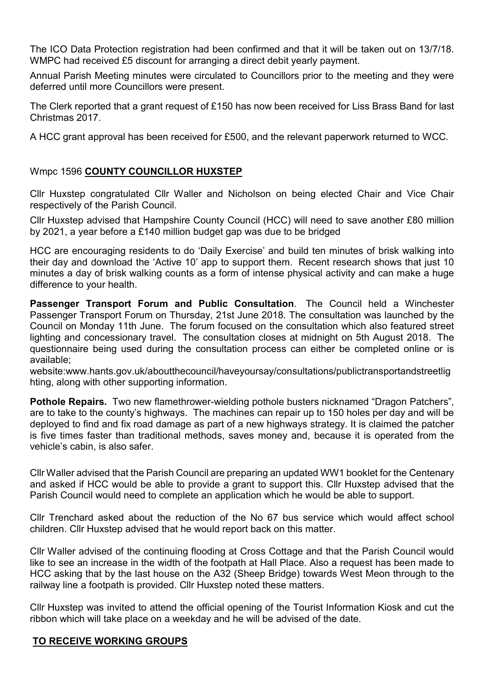The ICO Data Protection registration had been confirmed and that it will be taken out on 13/7/18. WMPC had received £5 discount for arranging a direct debit yearly payment.

Annual Parish Meeting minutes were circulated to Councillors prior to the meeting and they were deferred until more Councillors were present.

The Clerk reported that a grant request of £150 has now been received for Liss Brass Band for last Christmas 2017.

A HCC grant approval has been received for £500, and the relevant paperwork returned to WCC.

## Wmpc 1596 COUNTY COUNCILLOR HUXSTEP

Cllr Huxstep congratulated Cllr Waller and Nicholson on being elected Chair and Vice Chair respectively of the Parish Council.

Cllr Huxstep advised that Hampshire County Council (HCC) will need to save another £80 million by 2021, a year before a £140 million budget gap was due to be bridged

HCC are encouraging residents to do 'Daily Exercise' and build ten minutes of brisk walking into their day and download the 'Active 10' app to support them. Recent research shows that just 10 minutes a day of brisk walking counts as a form of intense physical activity and can make a huge difference to your health.

Passenger Transport Forum and Public Consultation. The Council held a Winchester Passenger Transport Forum on Thursday, 21st June 2018. The consultation was launched by the Council on Monday 11th June. The forum focused on the consultation which also featured street lighting and concessionary travel. The consultation closes at midnight on 5th August 2018. The questionnaire being used during the consultation process can either be completed online or is available;

website:www.hants.gov.uk/aboutthecouncil/haveyoursay/consultations/publictransportandstreetlig hting, along with other supporting information.

Pothole Repairs. Two new flamethrower-wielding pothole busters nicknamed "Dragon Patchers", are to take to the county's highways. The machines can repair up to 150 holes per day and will be deployed to find and fix road damage as part of a new highways strategy. It is claimed the patcher is five times faster than traditional methods, saves money and, because it is operated from the vehicle's cabin, is also safer.

Cllr Waller advised that the Parish Council are preparing an updated WW1 booklet for the Centenary and asked if HCC would be able to provide a grant to support this. Cllr Huxstep advised that the Parish Council would need to complete an application which he would be able to support.

Cllr Trenchard asked about the reduction of the No 67 bus service which would affect school children. Cllr Huxstep advised that he would report back on this matter.

Cllr Waller advised of the continuing flooding at Cross Cottage and that the Parish Council would like to see an increase in the width of the footpath at Hall Place. Also a request has been made to HCC asking that by the last house on the A32 (Sheep Bridge) towards West Meon through to the railway line a footpath is provided. Cllr Huxstep noted these matters.

Cllr Huxstep was invited to attend the official opening of the Tourist Information Kiosk and cut the ribbon which will take place on a weekday and he will be advised of the date.

## TO RECEIVE WORKING GROUPS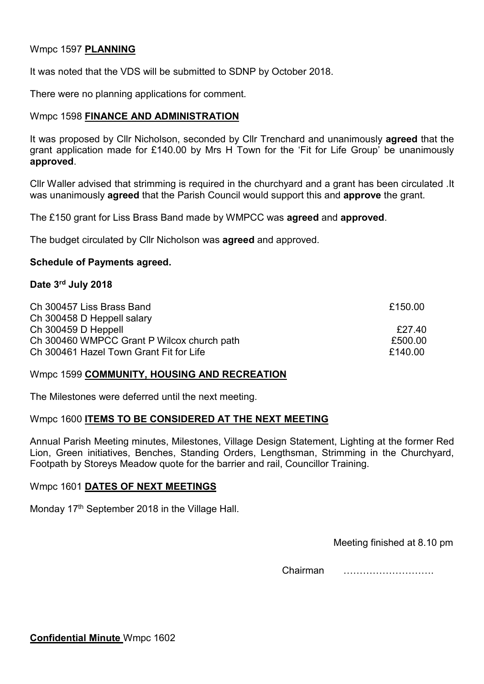## Wmpc 1597 PLANNING

It was noted that the VDS will be submitted to SDNP by October 2018.

There were no planning applications for comment.

## Wmpc 1598 FINANCE AND ADMINISTRATION

It was proposed by Cllr Nicholson, seconded by Cllr Trenchard and unanimously **agreed** that the grant application made for £140.00 by Mrs H Town for the 'Fit for Life Group' be unanimously approved.

Cllr Waller advised that strimming is required in the churchyard and a grant has been circulated .It was unanimously **agreed** that the Parish Council would support this and **approve** the grant.

The £150 grant for Liss Brass Band made by WMPCC was agreed and approved.

The budget circulated by Cllr Nicholson was agreed and approved.

#### Schedule of Payments agreed.

#### Date 3rd July 2018

| Ch 300457 Liss Brass Band<br>Ch 300458 D Heppell salary                               | £150.00            |
|---------------------------------------------------------------------------------------|--------------------|
|                                                                                       |                    |
| Ch 300460 WMPCC Grant P Wilcox church path<br>Ch 300461 Hazel Town Grant Fit for Life | £500.00<br>£140.00 |

#### Wmpc 1599 COMMUNITY, HOUSING AND RECREATION

The Milestones were deferred until the next meeting.

#### Wmpc 1600 ITEMS TO BE CONSIDERED AT THE NEXT MEETING

Annual Parish Meeting minutes, Milestones, Village Design Statement, Lighting at the former Red Lion, Green initiatives, Benches, Standing Orders, Lengthsman, Strimming in the Churchyard, Footpath by Storeys Meadow quote for the barrier and rail, Councillor Training.

#### Wmpc 1601 DATES OF NEXT MEETINGS

Monday 17<sup>th</sup> September 2018 in the Village Hall.

Meeting finished at 8.10 pm

Chairman ……………………….